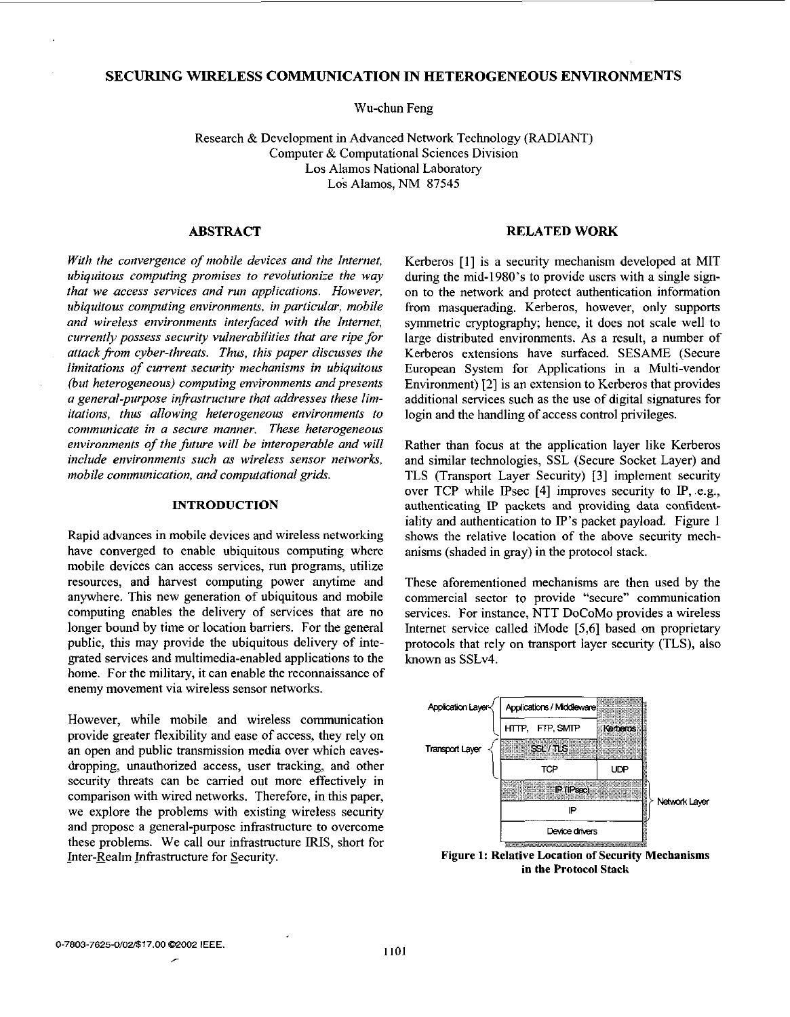# **SECURING WIRELESS COMMUNICATION IN HETEROGENEOUS ENVIRONMENTS**

Wu-chun Feng

Research & Development in Advanced Network Technology (RADIANT) Computer & Computational Sciences Division Los Alamos National Laboratory **Los** Alamos, **NM** 87545

# **ABSTRACT**

*With the convergence of mobile devices and the Internet, ubiquitous computing promises to revolutionize the way that we access services and run applications. However, ubiquitous computing environments, in particular, mobile and wireless environments interfaced with the Internet, currently possess security vulnerabilities that are ripe for attack fiom cyber-threats. Thus, this paper discusses the limitations of current securiy mechanisms in ubiquitous (but heterogeneous) computing environments and presents a general-purpose infrastructure that addresses these limitations, thus allowing heterogeneous environments to communicate in a secure manner. These heterogeneous environments of the future will be interoperable and will include environments such* **as** *wireless sensor networks, mobile communication, and computational grids.* 

#### **INTRODUCTION**

Rapid advances in mobile devices and wireless networking have converged to enable ubiquitous computing where mobile devices can access services, run programs, utilize resources, and harvest computing power anytime and anywhere. This new generation of ubiquitous and mobile computing enables the delivery of services that are no longer bound by time or location barriers. For the general public, this may provide the ubiquitous delivery **of** integrated services and multimedia-enabled applications to the home. For the military, it can enable the reconnaissance of enemy movement via wireless sensor networks.

However, while mobile and wireless communication provide greater flexibility and ease of access, they rely on an open and public transmission media over which eavesdropping, unauthorized access, user tracking, and other security threats can be carried out more effectively in comparison with wired networks. Therefore, in this paper, we explore the problems with existing wireless security and propose a general-purpose infrastructure to overcome these problems. We call our infrastructure **IRIS,** short for Inter-Realm Infrastructure for Security.

## **RELATED WORK**

Kerberos [l] is a security mechanism developed at MIT during the mid-1980's to provide users with a single signon to the network and protect authentication information from masquerading. Kerberos, however, only supports symmetric cryptography; hence, it does not scale well to large distributed environments. As a result, a number of Kerberos extensions have surfaced. SESAME (Secure European System for Applications in a Multi-vendor Environment) **[2]** is an extension to Kerberos that provides additional services such as the use of digital signatures for login and the handling of access control privileges.

Rather than focus at the application layer like Kerberos and similar technologies, SSL (Secure Socket Layer) and TLS (Transport Layer Security) **[3]** implement security over TCP while IPsec [4] improves security to IP, e.g., authenticating **E'** packets and providing data confidentiality and authentication to  $IP$ 's packet payload. Figure 1 shows the relative location of the above security mechanisms (shaded in gray) in the protocol stack.

These aforementioned mechanisms are then used by the commercial sector to provide "secure" communication services. For instance, NTT DoCoMo provides a wireless Internet service called iMode *[5,6]* based on proprietary protocols that rely on transport layer security (TLS), also known as SSLv4.



Figure **1:** Relative Location **of** Security Mechanisms in the Protocol Stack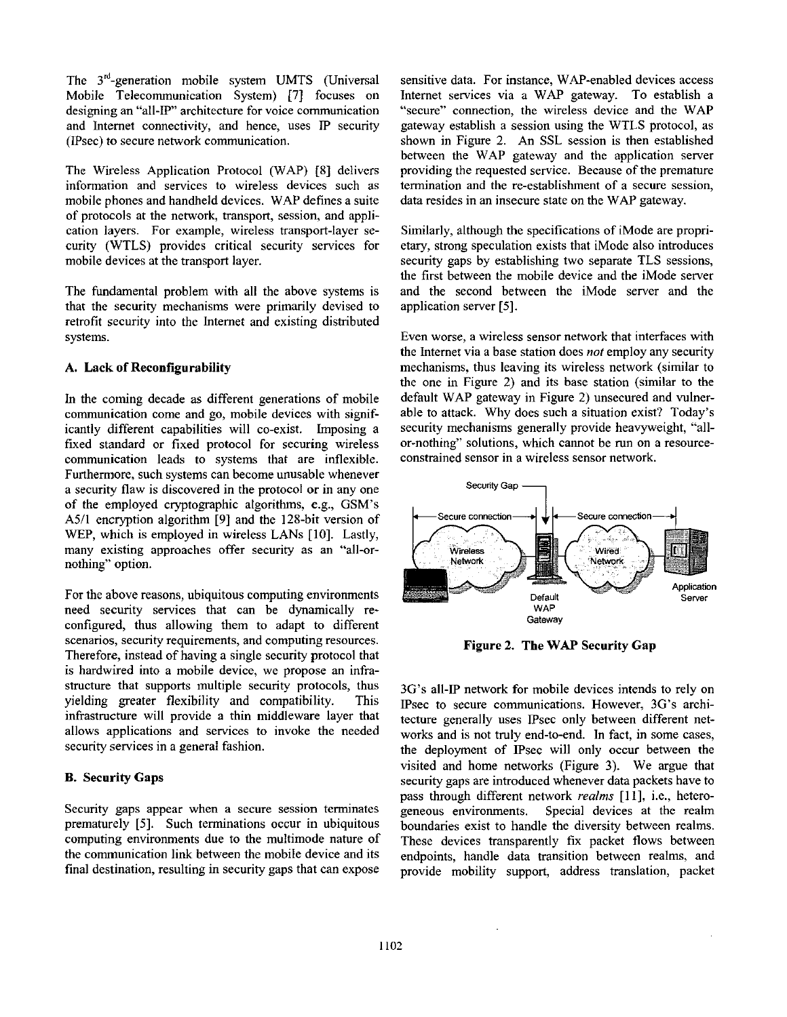The  $3<sup>rd</sup>$ -generation mobile system UMTS (Universal Mobile Telecommunication System) [7] focuses on designing an "all-IP" architecture for voice communication and Internet connectivity, and hence, uses IP security (IPsec) to secure network communication.

The Wireless Application Protocol (WAP) [8] delivers information and services to wireless devices such as mobile phones and handheld devices. WAP defines a suite of protocols at the network, transport, session, and application layers. For example, wireless transport-layer security (WTLS) provides critical security services for mobile devices at the transport layer.

The fundamental problem with all the above systems is that the security mechanisms were primarily devised to retrofit security into the Internet and existing distributed systems.

## **A.** Lack **of** Reconfigurability

In the coming decade as different generations of mobile communication come and go, mobile devices with significantly different capabilities will co-exist. Imposing a fixed standard or fixed protocol for securing wireless communication leads to systems that are inflexible. Furthermore, such systems can become unusable whenever a security flaw is discovered in the protocol or in any one **of** the employed cryptographic algorithms, e.g., GSM's A5/1 encryption algorithm **[9]** and the 128-bit version of WEP, which is employed in wireless LANs [10]. Lastly, many existing approaches offer security as an "all-ornothing" option.

For the above reasons, ubiquitous computing environments need security services that can be dynamically reconfigured, thus allowing them to adapt to different scenarios, security requirements, and computing resources. Therefore, instead of having a single security protocol that is hardwired into a mobile device, we propose an infrastructure that supports multiple security protocols, thus yielding greater flexibility and compatibility. This infrastructure will provide a thin middleware layer that allows applications and services to invoke the needed security services in a general fashion.

### **B.** Security Gaps

Security gaps appear when a secure session terminates prematurely [5]. Such terminations occur in ubiquitous computing environments due to the multimode nature of the communication link between the mobile device and its final destination, resulting in security gaps that can expose

sensitive data. For instance, WAP-enabled devices access Internet services via a WAP gateway. To establish a "secure" connection, the wireless device and the WAP gateway establish a session using the **WTLS** protocol, as shown in Figure **2.** An SSL session is then established between the WAP gateway and the application server providing the requested service. Because of the premature termination and the re-establishment of a secure session, data resides in an insecure state on the W4P gateway.

Similarly, although the specifications of iMode are proprietary, strong speculation exists that iMode also introduces security gaps by establishing two separate TLS sessions, the first between the mobile device and the iMode server and the second between the iMode server and the application server [5].

Even worse, a wireless sensor network that interfaces with the Internet via a base station does *not* employ any security mechanisms, thus leaving its wireless network (similar to the one in Figure 2) and its base station (similar to the default WAP gateway in Figure 2) unsecured and vulnerable to attack. Why does such a situation exist? Today's security mechanisms generally provide heavyweight, "allor-nothing'' solutions, which cannot be run on a resourceconstrained sensor in a wireless sensor network.



Figure 2. The WAP Security Gap

3G's all-IP network for mobile devices intends to rely on IPsec to secure communications. However, 3G's architecture generally uses Psec only between different networks and is not truly end-to-end. In fact, in some cases, the deployment of Psec will only occur between the visited and home networks (Figure **3).** We argue that security gaps are introduced whenever data packets have to pass through different network *realms* [l **I],** i.e., heterogeneous environments. Special devices at the realm boundaries exist to handle the diversity between realms. These devices transparently fix packet flows between endpoints, handle data transition between realms, and provide mobility support, address translation, packet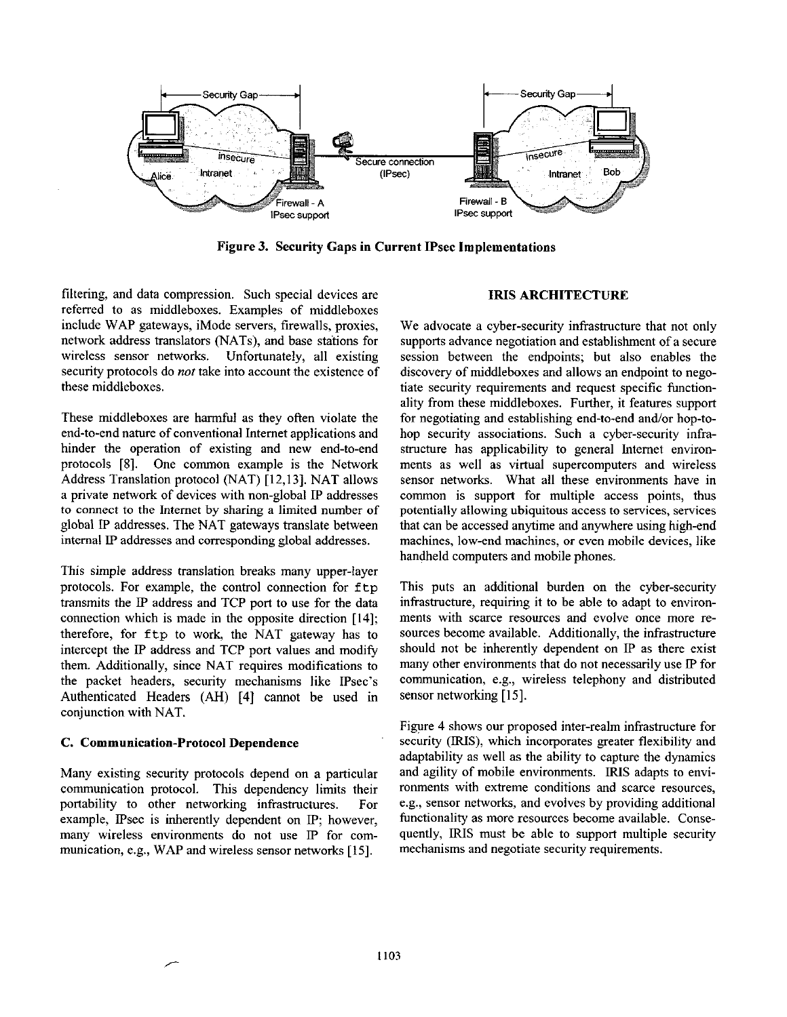

Figure **3.** Security Gaps **in** Current IPsec Implementations

filtering, and data compression. Such special devices are referred to as middleboxes. Examples of middleboxes include WAP gateways, iMode servers, firewalls, proxies, network address translators (NATs), and base stations for wireless sensor networks. Unfortunately, all existing security protocols do *not* take into account the existence of these middleboxes.

These middleboxes are harmful as they often violate the end-to-end nature of conventional Internet applications and hinder the operation of existing and new end-to-end protocols **[SI.** One common example is the Network Address Translation protocol (NAT) [12,13]. NAT allows a private network of devices with non-global IP addresses to connect to the Internet by sharing a limited number **of**  global IP addresses. The NAT gateways translate between internal **IP** addresses and corresponding global addresses.

This simple address translation breaks many upper-layer protocols. For example, the control connection for ftp transmits the IP address and TCP port to use for the data connection which is made in the opposite direction [14]; therefore, for ftp to work, the NAT gateway has to intercept the IP address and TCP port values and modify them. Additionally, since NAT requires modifications to the packet headers, security mechanisms like Psec's Authenticated Headers (AH) **[4]** cannot be used in conjunction with NAT.

### C. Communication-Protocol Dependence

Many existing security protocols depend on a particular communication protocol. This dependency limits their portability to other networking infrastructures. For example, IPsec is inherently dependent on IP; however, many wireless environments do not use IP for communication, e.g., WAP and wireless sensor networks **[15].** 

## **IRIS** ARCHITECTURE

We advocate a cyber-security infrastructure that not only supports advance negotiation and establishment of a secure session between the endpoints; but also enables the discovery of middleboxes and allows an endpoint to negotiate security requirements and request specific functionality from these middleboxes. Further, it features support for negotiating and establishing end-to-end and/or hop-tohop security associations. Such a cyber-security infrastructure has applicability to general Internet environments as well as virtual supercomputers and wireless sensor networks. What all these environments have in common is support for multiple access points, thus potentially allowing ubiquitous access to services, services that can be accessed anytime and anywhere using high-end machines, low-end machines, **or** even mobile devices, like handheld computers and mobile phones.

This puts an additional burden on the cyber-security infrastructure, requiring it to be able to adapt to environments with scarce resources and evolve once more resources become available. Additionally, the infrastructure should not be inherently dependent on IP as there exist many other environments that do not necessarily use IP for communication, e.g., wireless telephony and distributed sensor networking **[15].** 

[Figure 4](#page-3-0) shows our proposed inter-realm infrastructure for security (IRIS), which incorporates greater flexibility and adaptability as well **as** the ability to capture the dynamics and agility of mobile environments. **IRIS** adapts to environments with extreme conditions and scarce resources, e.g., sensor networks, and evolves by providing additional functionality as more resources become available. Consequently, IRIS must be able to support multiple security mechanisms and negotiate security requirements.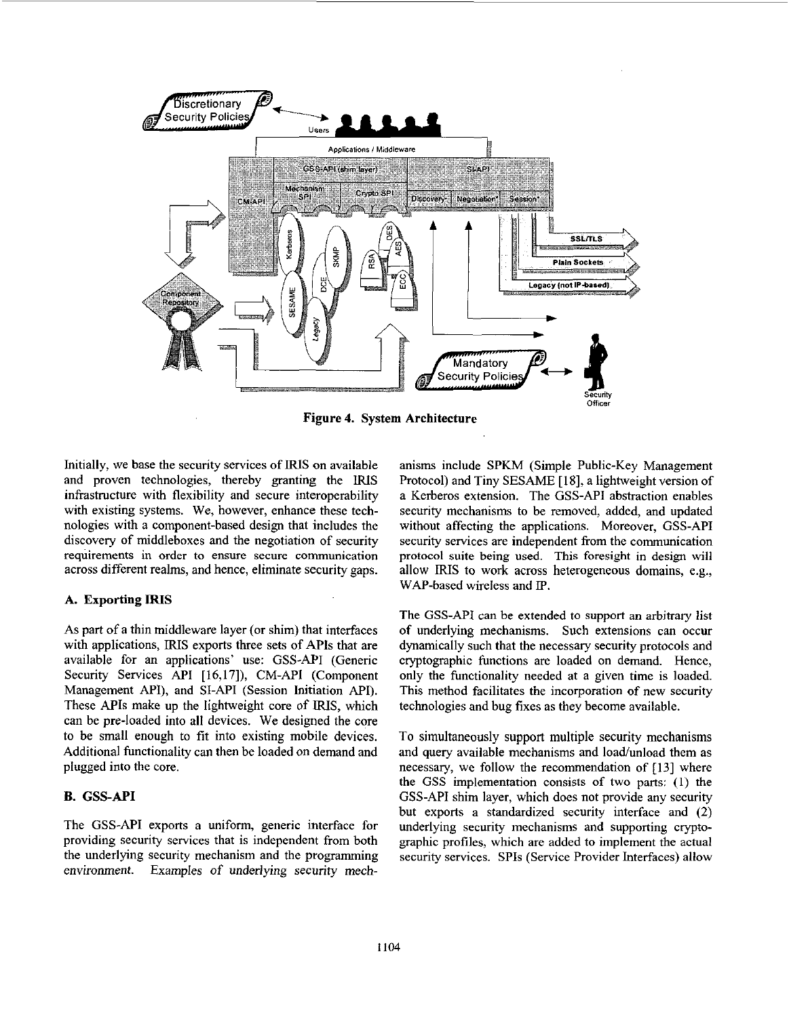<span id="page-3-0"></span>

Figure **4.** System Architecture

Initially, we base the security services of **IRIS** on available and proven technologies, thereby granting the IRIS infrastructure with flexibility and secure interoperability with existing systems. We, however, enhance these technologies with a component-based design that includes the discovery of middleboxes and the negotiation of security requirements in order to ensure secure communication across different realms, and hence, eliminate security gaps.

### **A.** Exporting **IRIS**

As part of a thin middleware layer **(or** shim) that interfaces with applications, **IRIS** exports three sets of APIs that are available for an applications' use: GSS-API (Generic Security Services API [16,17]), CM-API (Component Management API), and **SI-AF'I** (Session Initiation **MI).**  These **MIS** make up the lightweight core of **IRIS,** which can be pre-loaded into all devices. We designed the core to be small enough to fit into existing mobile devices. Additional functionality can then be loaded on demand and plugged into the core.

## **B. GSS-API**

The GSS-API exports a uniform, generic interface for providing security services that is independent from both the underlying security mechanism and the programming environment. Examples of underlying security mechanisms include SPKM (Simple Public-Key Management Protocol) and Tiny SESAME [18], a lightweight version of a Kerberos extension. The GSS-API abstraction enables security mechanisms to be removed, added, and updated without affecting the applications. Moreover, **GSS-API**  security services are independent from the communication protocol suite being used. This foresight in design will allow **IRIS** to work across heterogeneous domains, e.g., WAP-based wireless and **IP**.

The GSS-API can be extended to support an arbitrary list **of** underlying mechanisms. Such extensions can occur dynamically such that the necessary security protocols and cryptographic functions are loaded on demand. Hence, only the functionality needed at a given time is loaded. This method facilitates the incorporation of new security technologies and bug fixes as they become available.

To simultaneously support multiple security mechanisms and query available mechanisms and load/unload them as necessary, we follow the recommendation of [13] where the GSS implementation consists of two parts: (1) the GSS-API shim layer, which does not provide any security but exports a standardized security interface and *(2)*  underlying security mechanisms and supporting cryptographic profiles, which are added to implement the actual security services. SPIs (Service Provider Interfaces) allow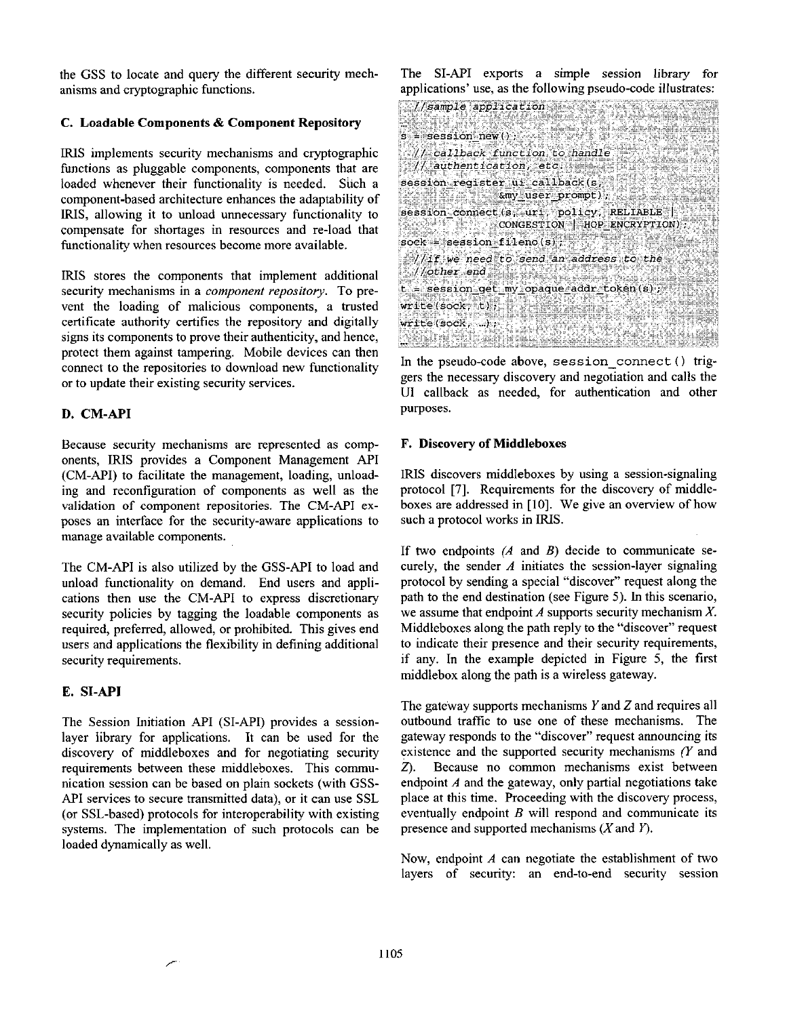the **GSS** to locate and query the different security mech. anisms and cryptographic functions.

## C. Loadable Components & Component Repository

**IRIS** implements security mechanisms and cryptographic functions **as** pluggable components, components that are loaded whenever their functionality is needed. Such a component-based architecture enhances the adaptability of **IRIS,** allowing it to unload unnecessary functionality to compensate for shortages in resources and re-load that functionality when resources become more available.

IRIS stores the components that implement additional security mechanisms in a *component repository.* To prevent the loading of malicious components, a trusted certificate authority certifies the repository and digitally signs its components to prove their authenticity, and hence, protect them against tampering. Mobile devices can then connect to the repositories to download new functionality or to update their existing security services.

## **D. CM-API**

Because security mechanisms are represented as components, **IRIS** provides a Component Management **API**  (CM-API) to facilitate the management, loading, unloading and reconfiguration of components **as** well **as** the validation of component repositories. The CM-API exposes an interface for the security-aware applications to manage available components.

The CM-API is also utilized by the GSS-API to load and unload functionality on demand. End users and applications then use the CM-API to express discretionary security policies by tagging the loadable components as required, preferred, allowed, or prohibited. This gives end users and applications the flexibility in defining additional security requirements.

# **E. SI-API**

The Session Initiation **API** (SI-API) provides **a** sessionlayer library for applications. It can be used for the discovery of middleboxes and for negotiating security requirements between these middleboxes. This communication session can be based on plain sockets (with **GSS-**API services to secure transmitted data), or it can use **SSL**  (or SSL-based) protocols for interoperability with existing systems. The implementation of such protocols can be loaded dynamically **as** well.

The SI-API exports a simple session library **for**  apulications' use. **as** the following pseudo-code illustrates:

 $\mathcal{C}/\mathsf{sample}$  application  $\mathcal{C}/\mathsf{max}$ <u>San Military na matang</u> 1992 T  $s =$  session new();  $\mathcal{N}/\mathcal{N}$  callback function to handle  $//$  authentication, etc. session reqister ui callback(s,  $\frac{1}{2}$   $\sqrt{2}$   $\frac{1}{2}$   $\frac{1}{2}$   $\frac{1}{2}$   $\frac{1}{2}$   $\frac{1}{2}$   $\frac{1}{2}$   $\frac{1}{2}$   $\frac{1}{2}$   $\frac{1}{2}$   $\frac{1}{2}$   $\frac{1}{2}$   $\frac{1}{2}$   $\frac{1}{2}$   $\frac{1}{2}$   $\frac{1}{2}$   $\frac{1}{2}$   $\frac{1}{2}$   $\frac{1}{2}$   $\frac{1}{2}$   $\frac{1}{2}$   $\frac$ session connect (s, url, policy, RELIABLE; CONGESTION | HOP ENCRYPTION)  $sock = session$  fileno(s); //if we need to send an address to the //other end 3434 4283 t = session get my opaque addr token (s);  $write(sock, t);$  $write(sock, ...):$ ERROR A <u>Manjernan</u>

In the pseudo-code above, **session-connect** ( ) triggers the necessary discovery and negotiation and calls the U1 callback as needed, for authentication and other purposes.

#### **F.** Discovery **of** Middleboxes

**IRIS** discovers middleboxes by using a session-signaling protocol [7]. Requirements for the discovery of middleboxes are addressed in [10]. We give an overview of how such a protocol works in **IRIS.** 

**If** two endpoints *(A* and *B)* decide to communicate securely, the sender *A* initiates the session-layer signaling protocol by sending a special "discover" request along the path to the end destination (see Figure 5). In this scenario, we assume that endpoint *A* supports security mechanism *X.*  Middleboxes along the path reply to the "discover" request to indicate their presence and their security requirements, if any. In the example depicted in Figure 5, the first middlehox along the path is a wireless gateway.

The gateway supports mechanisms *Y* and Z and requires all outbound traffic to use one of these mechanisms. The gateway responds to the "discover" request announcing its existence and the supported security mechanisms  $(Y \text{ and } Y)$ *Z).* Because no common mechanisms exist between endpoint *A* and the gateway, only partial negotiations take place at this time. Proceeding with the discovery process, eventually endpoint *B* will respond and communicate its presence and supported mechanisms (X and Y).

Now, endpoint *A* can negotiate the establishment of two layers of security: an end-to-end security session